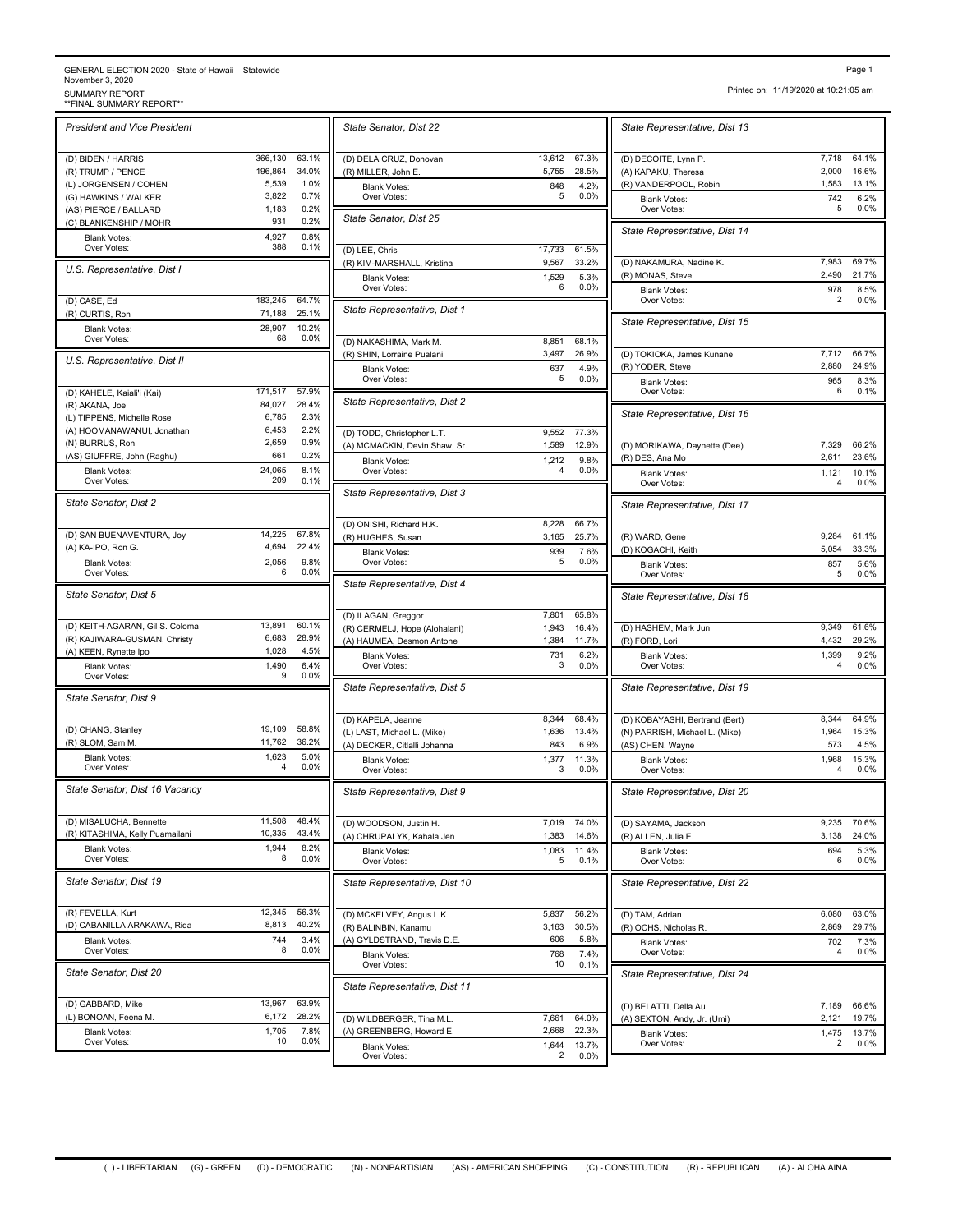## GENERAL ELECTION 2020 - State of Hawaii – Statewide<br>November 3, 2020<br>\*\*FINAL SUMMARY REPORT\*\*<br>\*\*FINAL SUMMARY REPORT\*\*

| <b>President and Vice President</b>                      |                  |                | State Senator, Dist 22                                |
|----------------------------------------------------------|------------------|----------------|-------------------------------------------------------|
| (D) BIDEN / HARRIS                                       | 366,130          | 63.1%          | (D) DELA CRUZ, Donovan                                |
| (R) TRUMP / PENCE                                        | 196,864<br>5,539 | 34.0%<br>1.0%  | (R) MILLER, John E.                                   |
| (L) JORGENSEN / COHEN<br>(G) HAWKINS / WALKER            | 3,822            | 0.7%           | <b>Blank Votes:</b><br>Over Votes:                    |
| (AS) PIERCE / BALLARD                                    | 1,183            | 0.2%           |                                                       |
| (C) BLANKENSHIP / MOHR                                   | 931              | 0.2%           | State Senator, Dist 25                                |
| <b>Blank Votes:</b><br>Over Votes:                       | 4,927<br>388     | 0.8%<br>0.1%   |                                                       |
|                                                          |                  |                | (D) LEE, Chris<br>(R) KIM-MARSHALL, Kristina          |
| U.S. Representative, Dist I                              |                  |                | <b>Blank Votes:</b><br>Over Votes:                    |
| (D) CASE, Ed                                             | 183,245          | 64.7%          | State Representative, Dist                            |
| (R) CURTIS, Ron<br><b>Blank Votes:</b>                   | 71,188<br>28,907 | 25.1%<br>10.2% |                                                       |
| Over Votes:                                              | 68               | 0.0%           | (D) NAKASHIMA, Mark M.                                |
| U.S. Representative, Dist II                             |                  |                | (R) SHIN, Lorraine Pualani                            |
|                                                          |                  |                | <b>Blank Votes:</b><br>Over Votes:                    |
| (D) KAHELE, Kaiali'i (Kai)                               | 171,517          | 57.9%          | State Representative, Dist 2                          |
| (R) AKANA, Joe                                           | 84,027           | 28.4%          |                                                       |
| (L) TIPPENS, Michelle Rose<br>(A) HOOMANAWANUI, Jonathan | 6,785<br>6,453   | 2.3%<br>2.2%   |                                                       |
| (N) BURRUS, Ron                                          | 2,659            | 0.9%           | (D) TODD, Christopher L.T.                            |
| (AS) GIUFFRE, John (Raghu)                               | 661              | 0.2%           | (A) MCMACKIN, Devin Shaw, S                           |
| <b>Blank Votes:</b>                                      | 24,065           | 8.1%           | <b>Blank Votes:</b><br>Over Votes:                    |
| Over Votes:                                              | 209              | 0.1%           | State Representative, Dist 3                          |
| State Senator, Dist 2                                    |                  |                |                                                       |
|                                                          | 14,225           | 67.8%          | (D) ONISHI, Richard H.K.                              |
| (D) SAN BUENAVENTURA, Joy<br>(A) KA-IPO, Ron G.          | 4,694            | 22.4%          | (R) HUGHES, Susan                                     |
| <b>Blank Votes:</b><br>Over Votes:                       | 2.056<br>6       | 9.8%<br>0.0%   | <b>Blank Votes:</b><br>Over Votes:                    |
| State Senator, Dist 5                                    |                  |                | State Representative, Dist 4                          |
|                                                          |                  |                |                                                       |
|                                                          |                  |                | (D) ILAGAN, Greggor                                   |
| (D) KEITH-AGARAN, Gil S. Coloma                          | 13,891           | 60.1%          | (R) CERMELJ, Hope (Alohalani)                         |
| (R) KAJIWARA-GUSMAN, Christy                             | 6,683            | 28.9%          | (A) HAUMEA, Desmon Antone                             |
| (A) KEEN, Rynette Ipo                                    | 1,028            | 4.5%           | <b>Blank Votes:</b>                                   |
| <b>Blank Votes:</b><br>Over Votes:                       | 1,490<br>9       | 6.4%<br>0.0%   | Over Votes:                                           |
| State Senator, Dist 9                                    |                  |                | State Representative, Dist &                          |
|                                                          |                  |                | (D) KAPELA, Jeanne                                    |
| (D) CHANG, Stanley                                       | 19,109           | 58.8%          | (L) LAST, Michael L. (Mike)                           |
| (R) SLOM, Sam M.                                         | 11,762           | 36.2%          | (A) DECKER, Citlalli Johanna                          |
| <b>Blank Votes:</b><br>Over Votes:                       | 1.623<br>4       | 5.0%<br>0.0%   | <b>Blank Votes:</b><br>Over Votes:                    |
| State Senator, Dist 16 Vacancy                           |                  |                | <b>State Representative, Dist 9</b>                   |
|                                                          |                  |                |                                                       |
| (D) MISALUCHA, Bennette                                  | 11,508           | 48.4%          | (D) WOODSON, Justin H.                                |
| (R) KITASHIMA, Kelly Puamailani                          | 10,335           | 43.4%          | (A) CHRUPALYK, Kahala Jen                             |
| <b>Blank Votes:</b><br>Over Votes:                       | 1,944<br>8       | 8.2%<br>0.0%   | <b>Blank Votes:</b><br>Over Votes:                    |
|                                                          |                  |                |                                                       |
| State Senator, Dist 19                                   |                  |                | State Representative, Dist                            |
| (R) FEVELLA, Kurt                                        | 12,345           | 56.3%          | (D) MCKELVEY, Angus L.K.                              |
| (D) CABANILLA ARAKAWA, Rida                              | 8,813            | 40.2%          | (R) BALINBIN, Kanamu                                  |
| <b>Blank Votes:</b>                                      | 744              | 3.4%           | (A) GYLDSTRAND, Travis D.E.                           |
| Over Votes:                                              | 8                | 0.0%           | <b>Blank Votes:</b><br>Over Votes:                    |
| State Senator, Dist 20                                   |                  |                |                                                       |
|                                                          |                  |                | State Representative, Dist 1                          |
| (D) GABBARD, Mike                                        | 13,967<br>6,172  | 63.9%<br>28.2% |                                                       |
| (L) BONOAN, Feena M.<br><b>Blank Votes:</b>              | 1,705            | 7.8%           | (D) WILDBERGER, Tina M.L.<br>(A) GREENBERG, Howard E. |

|                | State Senator, Dist 22                                      |                 |                | State Representative, Dist                               |
|----------------|-------------------------------------------------------------|-----------------|----------------|----------------------------------------------------------|
| 63.1%<br>34.0% | (D) DELA CRUZ, Donovan<br>(R) MILLER, John E                | 13,612<br>5,755 | 67.3%<br>28.5% | (D) DECOITE, Lynn P.<br>(A) KAPAKU, Theresa              |
| 1.0%           | <b>Blank Votes:</b>                                         | 848             | 4.2%           | (R) VANDERPOOL, Robin                                    |
| 0.7%<br>0.2%   | Over Votes:                                                 | 5               | 0.0%           | <b>Blank Votes:</b><br>Over Votes:                       |
| 0.2%<br>0.8%   | State Senator, Dist 25                                      |                 |                | State Representative, Dist 1                             |
| 0.1%           | (D) LEE, Chris                                              | 17,733          | 61.5%          |                                                          |
|                | (R) KIM-MARSHALL, Kristina<br><b>Blank Votes:</b>           | 9,567<br>1,529  | 33.2%<br>5.3%  | (D) NAKAMURA, Nadine K.<br>(R) MONAS, Steve              |
| 64.7%          | Over Votes:                                                 | 6               | 0.0%           | <b>Blank Votes:</b><br>Over Votes:                       |
| 25.1%<br>10.2% | State Representative, Dist 1                                |                 |                | State Representative, Dist                               |
| 0.0%           | (D) NAKASHIMA, Mark M.                                      | 8,851           | 68.1%          |                                                          |
|                | (R) SHIN, Lorraine Pualani<br><b>Blank Votes:</b>           | 3,497<br>637    | 26.9%<br>4.9%  | (D) TOKIOKA, James Kunane<br>(R) YODER, Steve            |
| 57.9%          | Over Votes:                                                 | 5               | 0.0%           | <b>Blank Votes:</b><br>Over Votes:                       |
| 28.4%<br>2.3%  | State Representative, Dist 2                                |                 |                | State Representative, Dist                               |
| 2.2%           | (D) TODD, Christopher L.T.                                  | 9,552           | 77.3%          |                                                          |
| 0.9%<br>0.2%   | (A) MCMACKIN, Devin Shaw, Sr.                               | 1,589           | 12.9%          | (D) MORIKAWA, Daynette (Dee<br>(R) DES, Ana Mo           |
| 8.1%<br>0.1%   | <b>Blank Votes:</b><br>Over Votes:                          | 1,212<br>4      | 9.8%<br>0.0%   | <b>Blank Votes:</b><br>Over Votes:                       |
|                | State Representative, Dist 3                                |                 |                | State Representative, Dist                               |
|                | (D) ONISHI, Richard H.K.                                    | 8,228           | 66.7%          |                                                          |
| 67.8%<br>22.4% | (R) HUGHES, Susan                                           | 3,165           | 25.7%          | (R) WARD, Gene                                           |
| 9.8%<br>0.0%   | <b>Blank Votes:</b><br>Over Votes:                          | 939<br>5        | 7.6%<br>0.0%   | (D) KOGACHI, Keith<br><b>Blank Votes:</b><br>Over Votes: |
|                | State Representative, Dist 4                                |                 |                | State Representative, Dist                               |
|                | (D) ILAGAN, Greggor                                         | 7,801           | 65.8%          |                                                          |
| 60.1%<br>28.9% | (R) CERMELJ, Hope (Alohalani)<br>(A) HAUMEA, Desmon Antone  | 1,943<br>1,384  | 16.4%<br>11.7% | (D) HASHEM, Mark Jun<br>(R) FORD, Lori                   |
| 4.5%           | <b>Blank Votes:</b>                                         | 731             | 6.2%           | <b>Blank Votes:</b>                                      |
| 6.4%<br>0.0%   | Over Votes:                                                 | 3               | 0.0%           | Over Votes:                                              |
|                | State Representative, Dist 5                                |                 |                | State Representative, Dist                               |
| 58.8%          | (D) KAPELA, Jeanne                                          | 8,344           | 68.4%          | (D) KOBAYASHI, Bertrand (Bert                            |
| 36.2%          | (L) LAST, Michael L. (Mike)<br>(A) DECKER, Citlalli Johanna | 1,636<br>843    | 13.4%<br>6.9%  | (N) PARRISH, Michael L. (Mike)<br>(AS) CHEN, Wayne       |
| 5.0%<br>0.0%   | <b>Blank Votes:</b><br>Over Votes:                          | 1,377<br>3      | 11.3%<br>0.0%  | <b>Blank Votes:</b><br>Over Votes:                       |
|                | State Representative, Dist 9                                |                 |                | State Representative, Dist :                             |
| 48.4%<br>43.4% | (D) WOODSON, Justin H.                                      | 7,019           | 74.0%          | (D) SAYAMA, Jackson                                      |
| 8.2%           | (A) CHRUPALYK, Kahala Jen<br><b>Blank Votes:</b>            | 1,383<br>1,083  | 14.6%<br>11.4% | (R) ALLEN, Julia E.<br><b>Blank Votes:</b>               |
| 0.0%           | Over Votes:                                                 | 5               | 0.1%           | Over Votes:                                              |
|                | State Representative, Dist 10                               |                 |                | State Representative, Dist 1                             |
| 56.3%          | (D) MCKELVEY, Angus L.K.                                    | 5,837           | 56.2%          | (D) TAM, Adrian                                          |
| 40.2%<br>3.4%  | (R) BALINBIN, Kanamu<br>(A) GYLDSTRAND, Travis D.E.         | 3,163<br>606    | 30.5%<br>5.8%  | (R) OCHS, Nicholas R.                                    |
| 0.0%           | <b>Blank Votes:</b>                                         | 768<br>10       | 7.4%<br>0.1%   | Blank Votes:<br>Over Votes:                              |
|                | Over Votes:<br>State Representative, Dist 11                |                 |                | State Representative, Dist 2                             |
| 63.9%<br>28.2% |                                                             | 7,661           | 64.0%          | (D) BELATTI, Della Au                                    |
| 7.8%           | (D) WILDBERGER, Tina M.L.<br>(A) GREENBERG, Howard E.       | 2,668           | 22.3%          | (A) SEXTON, Andy, Jr. (Umi)<br><b>Blank Votes:</b>       |
| 0.0%           | <b>Blank Votes:</b>                                         | 1,644           | 13.7%          | Over Votes:                                              |
|                | Over Votes:                                                 | 2               | 0.0%           |                                                          |

Printed on: 11/19/2020 at 10:21:05 am

| State Representative, Dist 13                        |                |                 |
|------------------------------------------------------|----------------|-----------------|
|                                                      |                |                 |
| (D) DECOITE, Lynn P.<br>(A) KAPAKU, Theresa          | 7,718<br>2,000 | 64.1%<br>16.6%  |
| (R) VANDERPOOL, Robin                                | 1,583          | 13.1%           |
| <b>Blank Votes:</b><br>Over Votes:                   | 742<br>5       | 6.2%<br>0.0%    |
| State Representative, Dist 14                        |                |                 |
|                                                      |                |                 |
| (D) NAKAMURA, Nadine K.<br>(R) MONAS, Steve          | 7,983<br>2,490 | 69.7%<br>21.7%  |
| <b>Blank Votes:</b>                                  | 978            | 8.5%            |
| Over Votes:                                          | 2              | 0.0%            |
| State Representative, Dist 15                        |                |                 |
| (D) TOKIOKA, James Kunane                            | 7,712          | 66.7%           |
| (R) YODER, Steve                                     | 2,880          | 24.9%           |
| Blank Votes:<br>Over Votes:                          | 965<br>6       | 8.3%<br>0.1%    |
| State Representative, Dist 16                        |                |                 |
| (D) MORIKAWA, Daynette (Dee)                         | 7.329          | 66.2%           |
| (R) DES, Ana Mo                                      | 2,611          | 23.6%           |
| <b>Blank Votes:</b><br>Over Votes:                   | 1,121<br>4     | 10.1%<br>0.0%   |
| State Representative, Dist 17                        |                |                 |
|                                                      |                |                 |
| (R) WARD, Gene<br>(D) KOGACHI, Keith                 | 9.284<br>5,054 | 61.1%<br>33.3%  |
| <b>Blank Votes:</b>                                  | 857<br>5       | 5.6%            |
| Over Votes:                                          |                | 0.0%            |
| State Representative, Dist 18                        |                |                 |
| (D) HASHEM, Mark Jun                                 | 9,349<br>4,432 | 61.6%<br>29.2%  |
| (R) FORD, Lori<br><b>Blank Votes:</b>                | 1,399          | 9.2%            |
| Over Votes:                                          | 4              | 0.0%            |
| State Representative, Dist 19                        |                |                 |
| (D) KOBAYASHI, Bertrand (Bert)                       | 8,344          | 64.9%           |
| (N) PARRISH, Michael L. (Mike)                       | 1,964          | 15.3%           |
| (AS) CHEN, Wayne                                     | 573            | 4.5%            |
| <b>Blank Votes:</b><br>Over Votes:                   | 1,968<br>4     | 15.3%<br>0.0%   |
| State Representative, Dist 20                        |                |                 |
| (D) SAYAMA, Jackson                                  | 9,235          | 70.6%           |
| (R) ALLEN, Julia E.                                  | 3,138          | 24.0%           |
| <b>Blank Votes:</b><br>Over Votes:                   | 694<br>6       | 5.3%<br>$0.0\%$ |
| State Representative, Dist 22                        |                |                 |
| (D) TAM, Adrian                                      | 6,080          | 63.0%           |
| (R) OCHS, Nicholas R.                                | 2,869          | 29.7%           |
| <b>Blank Votes:</b><br>Over Votes:                   | 702<br>4       | 7.3%<br>0.0%    |
| State Representative, Dist 24                        |                |                 |
|                                                      |                |                 |
| (D) BELATTI, Della Au<br>(A) SEXTON, Andy, Jr. (Umi) | 7,189<br>2,121 | 66.6%<br>19.7%  |
| Blank Votes:                                         | 1,475          | 13.7%           |
| Over Votes:                                          | 2              | 0.0%            |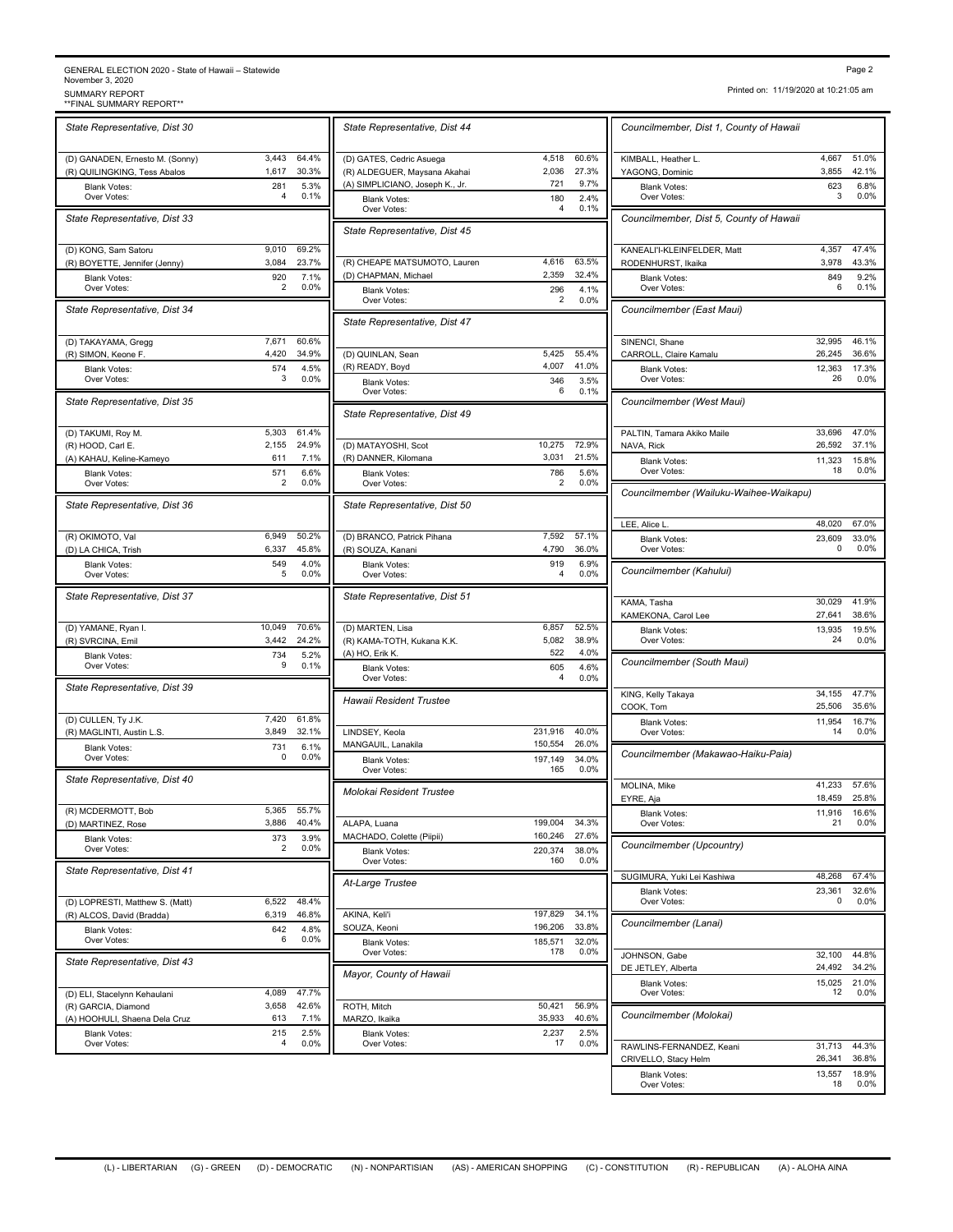## GENERAL ELECTION 2020 - State of Hawaii – Statewide<br>November 3, 2020<br>SUMMARY REPORT<br>\*\*FINAL SUMMARY REPORT\*\* \*\*FINAL SUMMARY REPORT\*\* SUMMARY REPORT Page 2

*State Representative, Dist 30* (D) GANADEN, Ernesto M. (Sonny) 3,443 64.4%<br>
(R) OUILINGKING Tess Abalos 1.617 30.3% (R) QUILINGKING, Tess Abalos Blank Votes: 281 Over Votes: 4 0.1%  $5.3\%$ <br> $0.1\%$ *State Representative, Dist 33* (D) KONG, Sam Satoru 9,010 69.2% (R) BOYETTE, Jennifer (Jenny) 3,084 23.7% Blank Votes: 920 Over Votes: 7.1% *State Representative, Dist 34* (B) TAKAYAMA, Gregg 7,671 60.6%<br>
(R) SIMON, Keone F. 4,420 34.9%  $(R)$  SIMON, Keone F.  $4,420$ Blank Votes: 574 4.5%<br>Over Votes: 574 574 9.00% Over Votes:  $\begin{array}{ccc} 3 & 0.0\% \\ 0 & \text{Planck Votes} \end{array}$  4.5% *State Representative, Dist 35* (D) TAKUMI, Roy M. 5,303 61.4%<br>
(R) HOOD Carl E 2.155 24.9% (R) HOOD, Carl E. (A) KAHAU, Keline-Kameyo 611 7.1% Blank Votes: 571 Over Votes:  $2 \t 0.0\%$  | Over Votes:  $6.6\%$ <br> $0.0\%$ *State Representative, Dist 36* (R) OKIMOTO, Val 6,949 50.2%<br>
(D) | A CHICA Trish 6.337 45.8% (D) LA CHICA, Trish 6,337 Blank Votes: 549 Over Votes: 5 0.0%  $4.0\%$ <br> $0.0\%$ *State Representative, Dist 37* (D) YAMANE, Ryan I. 10,049 70.6% (R) SVRCINA, Emil 3,442 24.2% Blank Votes: 734 5.2%<br>Over Votes: 9 0.1% Over Votes: 5.2% *State Representative, Dist 39* (D) CULLEN, Ty J.K. 7,420 61.8%<br>
(R) MAGLINTI, Austin L.S. 3,849 32.1% (R) MAGLINTI, Austin L.S. Blank Votes: 731 Over Votes:  $\begin{array}{ccc} 0 & 0.0\% \\ 0 & 0.0\% \end{array}$  Riank Votes:  $6.1\%$ <br> $0.0\%$ *State Representative, Dist 40* (R) MCDERMOTT, Bob 5,365 55.7% (D) MARTINEZ, Rose 3,886 40.4% Blank Votes: 373 3.9%<br>City Cover Votes: 373 3.9%<br>2 0.0% Over Votes:  $\begin{array}{ccc} 2 & 0.0\% \\ 2 & 0.0\% \end{array}$  Riank Votes: 3.9% *State Representative, Dist 41* (D) LOPRESTI, Matthew S. (Matt) 6,522 48.4% (R) ALCOS, David (Bradda) 6,319 46.8% Blank Votes: 642 4.8%<br>Over Votes: 6 0.0% Diami votes: 4.8% *State Representative, Dist 43* (D) ELI, Stacelynn Kehaulani 4,089 47.7%<br>
(R) GARCIA, Diamond 3,658 42.6% (R) GARCIA, Diamond (A) HOOHULI, Shaena Dela Cruz 613 7.1% Blank Votes: 215 2.5%<br>Over Votes: 215 2.5%<br>4 0.0% Over Votes:

| State Representative, Dist 44                          |                    |                 | Councilmember, Dist 1, Cou                       |
|--------------------------------------------------------|--------------------|-----------------|--------------------------------------------------|
| (D) GATES, Cedric Asuega                               | 4,518              | 60.6%           | KIMBALL, Heather L.                              |
| (R) ALDEGUER, Maysana Akahai                           | 2,036<br>721       | 27.3%<br>9.7%   | YAGONG, Dominic                                  |
| (A) SIMPLICIANO, Joseph K., Jr.<br><b>Blank Votes:</b> | 180                | 2.4%            | <b>Blank Votes:</b><br>Over Votes:               |
| Over Votes:                                            | 4                  | 0.1%            | Councilmember, Dist 5, Col                       |
| State Representative, Dist 45                          |                    |                 | KANEALI'I-KLEINFELDER, Mat                       |
| (R) CHEAPE MATSUMOTO, Lauren                           | 4,616              | 63.5%<br>32.4%  | RODENHURST, Ikaika                               |
| (D) CHAPMAN, Michael<br><b>Blank Votes:</b>            | 2,359<br>296       | 4.1%            | <b>Blank Votes:</b><br>Over Votes:               |
| Over Votes:                                            | 2                  | 0.0%            | Councilmember (East Maui                         |
| State Representative, Dist 47                          |                    |                 | SINENCI, Shane                                   |
| (D) QUINLAN, Sean                                      | 5,425              | 55.4%           | CARROLL, Claire Kamalu                           |
| (R) READY, Boyd<br><b>Blank Votes:</b>                 | 4,007<br>346       | 41.0%<br>3.5%   | <b>Blank Votes:</b><br>Over Votes:               |
| Over Votes:                                            | 6                  | 0.1%            | Councilmember (West Mau                          |
| State Representative, Dist 49                          |                    |                 |                                                  |
| (D) MATAYOSHI, Scot                                    | 10.275             | 72.9%           | PALTIN, Tamara Akiko Maile<br>NAVA, Rick         |
| (R) DANNER, Kilomana                                   | 3,031              | 21.5%           | <b>Blank Votes:</b><br>Over Votes:               |
| <b>Blank Votes:</b><br>Over Votes:                     | 786<br>2           | 5.6%<br>0.0%    | Councilmember (Wailuku-W                         |
| State Representative, Dist 50                          |                    |                 |                                                  |
|                                                        |                    |                 | LEE, Alice L.                                    |
| (D) BRANCO, Patrick Pihana<br>(R) SOUZA, Kanani        | 7,592<br>4,790     | 57.1%<br>36.0%  | <b>Blank Votes:</b><br>Over Votes:               |
| <b>Blank Votes:</b><br>Over Votes:                     | 919<br>4           | 6.9%<br>0.0%    | Councilmember (Kahului)                          |
| State Representative, Dist 51                          |                    |                 | KAMA, Tasha                                      |
| (D) MARTEN, Lisa                                       | 6,857              | 52.5%           | KAMEKONA, Carol Lee<br><b>Blank Votes:</b>       |
| (R) KAMA-TOTH, Kukana K.K.                             | 5,082              | 38.9%           | Over Votes:                                      |
| (A) HO, Erik K.<br><b>Blank Votes:</b>                 | 522<br>605         | 4.0%<br>4.6%    | Councilmember (South Mat                         |
| Over Votes:                                            | 4                  | 0.0%            | KING, Kelly Takaya                               |
| Hawaii Resident Trustee                                |                    |                 | COOK, Tom                                        |
| LINDSEY, Keola                                         | 231,916            | 40.0%           | <b>Blank Votes:</b><br>Over Votes:               |
| MANGAUIL, Lanakila<br><b>Blank Votes:</b>              | 150,554<br>197,149 | 26.0%<br>34.0%  | Councilmember (Makawao-                          |
| Over Votes:                                            | 165                | 0.0%            |                                                  |
| Molokai Resident Trustee                               |                    |                 | MOLINA, Mike<br>EYRE, Aja                        |
| ALAPA, Luana                                           | 199,004            | 34.3%           | <b>Blank Votes:</b><br>Over Votes:               |
| MACHADO, Colette (Piipii)                              | 160,246            | 27.6%           | <b>Councilmember (Upcountry</b>                  |
| <b>Blank Votes:</b><br>Over Votes:                     | 220,374<br>160     | 38.0%<br>0.0%   |                                                  |
| At-Large Trustee                                       |                    |                 | SUGIMURA, Yuki Lei Kashiwa                       |
|                                                        |                    |                 | Blank Votes:<br>Over Votes:                      |
| AKINA, Keli'i<br>SOUZA, Keoni                          | 197,829<br>196,206 | 34.1%<br>33.8%  | Councilmember (Lanai)                            |
| <b>Blank Votes:</b><br>Over Votes:                     | 185,571<br>178     | 32.0%<br>0.0%   | JOHNSON, Gabe                                    |
| Mayor, County of Hawaii                                |                    |                 | DE JETLEY, Alberta                               |
|                                                        |                    |                 | <b>Blank Votes:</b><br>Over Votes:               |
| ROTH, Mitch<br>MARZO, Ikaika                           | 50,421<br>35,933   | 56.9%<br>40.6%  | Councilmember (Molokai)                          |
| <b>Blank Votes:</b><br>Over Votes:                     | 2,237<br>17        | 2.5%<br>$0.0\%$ |                                                  |
|                                                        |                    |                 | RAWLINS-FERNANDEZ, Keani<br>CRIVELLO, Stacy Helm |
|                                                        |                    |                 |                                                  |

Printed on: 11/19/2020 at 10:21:05 am

| Councilmember, Dist 1, County of Hawaii       |                  |                |
|-----------------------------------------------|------------------|----------------|
| KIMBALL, Heather L.                           | 4,667            | 51.0%          |
| YAGONG, Dominic                               | 3,855            | 42.1%          |
| <b>Blank Votes:</b><br>Over Votes:            | 623<br>3         | 6.8%<br>0.0%   |
| Councilmember, Dist 5, County of Hawaii       |                  |                |
| KANEALI'I-KLEINFELDER, Matt                   | 4,357            | 47.4%          |
| RODENHURST, Ikaika                            | 3,978            | 43.3%          |
| <b>Blank Votes:</b><br>Over Votes:            | 849<br>6         | 9.2%<br>0.1%   |
| Councilmember (East Maui)                     |                  |                |
| SINENCI, Shane                                | 32,995           | 46.1%          |
| CARROLL, Claire Kamalu<br><b>Blank Votes:</b> | 26,245<br>12,363 | 36.6%<br>17.3% |
| Over Votes:                                   | 26               | 0.0%           |
| Councilmember (West Maui)                     |                  |                |
| PALTIN, Tamara Akiko Maile                    | 33,696           | 47.0%          |
| NAVA, Rick                                    | 26,592           | 37.1%<br>15.8% |
| <b>Blank Votes:</b><br>Over Votes:            | 11,323<br>18     | 0.0%           |
| Councilmember (Wailuku-Waihee-Waikapu)        |                  |                |
| LEE, Alice L                                  | 48,020           | 67.0%          |
| <b>Blank Votes:</b>                           | 23,609           | 33.0%          |
| Over Votes:                                   | 0                | 0.0%           |
| Councilmember (Kahului)                       |                  |                |
| KAMA, Tasha                                   | 30,029           | 41.9%          |
| KAMEKONA, Carol Lee                           | 27,641           | 38.6%          |
| <b>Blank Votes:</b><br>Over Votes:            | 13,935<br>24     | 19.5%<br>0.0%  |
| Councilmember (South Maui)                    |                  |                |
| KING, Kelly Takaya                            | 34,155           | 47.7%          |
| COOK, Tom                                     | 25,506           | 35.6%          |
| <b>Blank Votes:</b><br>Over Votes:            | 11,954<br>14     | 16.7%<br>0.0%  |
| Councilmember (Makawao-Haiku-Paia)            |                  |                |
| MOLINA, Mike                                  | 41,233           | 57.6%          |
| EYRE, Aja                                     | 18,459           | 25.8%          |
| <b>Blank Votes:</b><br>Over Votes:            | 11,916<br>21     | 16.6%<br>0.0%  |
| Councilmember (Upcountry)                     |                  |                |
| SUGIMURA, Yuki Lei Kashiwa                    | 48,268           | 67.4%          |
| <b>Blank Votes:</b>                           | 23,361           | 32.6%          |
| Over Votes:                                   | 0                | $0.0\%$        |
| Councilmember (Lanai)                         |                  |                |
| JOHNSON, Gabe                                 | 32,100           | 44.8%          |
| DE JETLEY, Alberta                            | 24,492           | 34.2%          |
| <b>Blank Votes:</b><br>Over Votes:            | 15,025<br>12     | 21.0%<br>0.0%  |
| Councilmember (Molokai)                       |                  |                |
| RAWLINS-FERNANDEZ, Keani                      | 31,713           | 44.3%          |
| CRIVELLO, Stacy Helm                          | 26,341           | 36.8%          |
| <b>Blank Votes:</b><br>Over Votes:            | 13,557<br>18     | 18.9%<br>0.0%  |
|                                               |                  |                |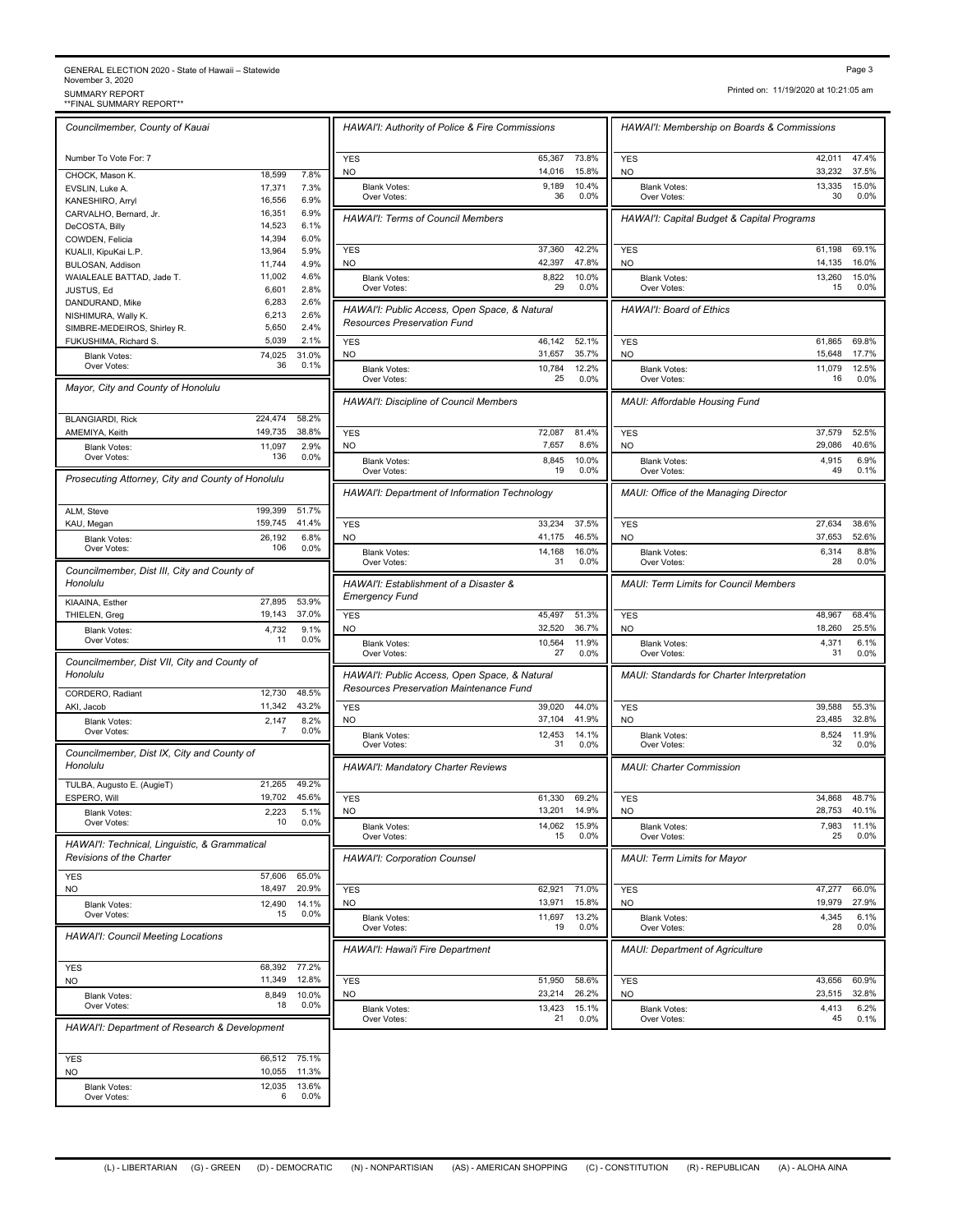## GENERAL ELECTION 2020 - State of Hawaii – Statewide<br>November 3, 2020<br>\*\*FINAL SUMMARY REPORT\*\*<br>\*\*FINAL SUMMARY REPORT\*\*

Printed on: 11/19/2020 at 10:21:05 am

| Councilmember, County of Kauai                    |                  |               | HAWAI'I: Authority of Police       |
|---------------------------------------------------|------------------|---------------|------------------------------------|
|                                                   |                  |               |                                    |
| Number To Vote For: 7                             |                  |               | YES                                |
| CHOCK, Mason K.                                   | 18,599           | 7.8%          | NO                                 |
| EVSLIN, Luke A.                                   | 17,371           | 7.3%          | <b>Blank Votes:</b><br>Over Votes: |
| KANESHIRO, Arryl                                  | 16,556           | 6.9%          |                                    |
| CARVALHO, Bernard, Jr.                            | 16,351<br>14,523 | 6.9%<br>6.1%  | HAWAI'I: Terms of Council          |
| DeCOSTA, Billy<br>COWDEN, Felicia                 | 14,394           | 6.0%          |                                    |
| KUALII, KipuKai L.P.                              | 13,964           | 5.9%          | <b>YES</b>                         |
| BULOSAN, Addison                                  | 11,744           | 4.9%          | NO                                 |
| WAIALEALE BATTAD, Jade T.                         | 11,002           | 4.6%          | <b>Blank Votes:</b>                |
| JUSTUS, Ed                                        | 6,601            | 2.8%          | Over Votes:                        |
| DANDURAND, Mike                                   | 6,283            | 2.6%          |                                    |
| NISHIMURA, Wally K.                               | 6,213            | 2.6%          | HAWAI'I: Public Access, Op         |
| SIMBRE-MEDEIROS, Shirley R.                       | 5,650            | 2.4%          | <b>Resources Preservation Fu</b>   |
| FUKUSHIMA, Richard S.                             | 5,039            | 2.1%          | YES                                |
| <b>Blank Votes:</b>                               | 74,025           | 31.0%         | NO                                 |
| Over Votes:                                       | 36               | 0.1%          | <b>Blank Votes:</b>                |
| Mayor, City and County of Honolulu                |                  |               | Over Votes:                        |
|                                                   |                  |               | <b>HAWAI'I: Discipline of Cour</b> |
|                                                   | 224,474          | 58.2%         |                                    |
| <b>BLANGIARDI, Rick</b><br>AMEMIYA, Keith         | 149,735          | 38.8%         | YES                                |
|                                                   | 11,097           | 2.9%          | NO                                 |
| <b>Blank Votes:</b><br>Over Votes:                | 136              | 0.0%          |                                    |
|                                                   |                  |               | <b>Blank Votes:</b><br>Over Votes: |
| Prosecuting Attorney, City and County of Honolulu |                  |               |                                    |
|                                                   |                  |               | HAWAI'I: Department of Infi        |
| ALM, Steve                                        | 199,399          | 51.7%         |                                    |
| KAU, Megan                                        | 159,745          | 41.4%         | YES                                |
| <b>Blank Votes:</b>                               | 26,192           | 6.8%          | NO                                 |
| Over Votes:                                       | 106              | 0.0%          | <b>Blank Votes:</b>                |
|                                                   |                  |               | Over Votes:                        |
| Councilmember, Dist III, City and County of       |                  |               |                                    |
| Honolulu                                          |                  |               | HAWAI'I: Establishment of a        |
| KIAAINA, Esther                                   | 27,895           | 53.9%         | <b>Emergency Fund</b>              |
| THIELEN, Greg                                     | 19,143           | 37.0%         | <b>YES</b>                         |
| <b>Blank Votes:</b>                               | 4,732            | 9.1%          | NO                                 |
| Over Votes:                                       | 11               | 0.0%          | <b>Blank Votes:</b>                |
| Councilmember, Dist VII, City and County of       |                  |               | Over Votes:                        |
| Honolulu                                          |                  |               | HAWAI'I: Public Access, Op         |
|                                                   | 12,730           | 48.5%         | <b>Resources Preservation Ma</b>   |
| CORDERO, Radiant                                  | 11,342           | 43.2%         |                                    |
| AKI, Jacob                                        |                  | 8.2%          | <b>YES</b><br>NO                   |
| <b>Blank Votes:</b><br>Over Votes:                | 2,147<br>7       | 0.0%          |                                    |
|                                                   |                  |               | <b>Blank Votes:</b><br>Over Votes: |
| Councilmember, Dist IX, City and County of        |                  |               |                                    |
| Honolulu                                          |                  |               | HAWAI'I: Mandatory Charte          |
| TULBA, Augusto E. (AugieT)                        | 21,265           | 49.2%         |                                    |
| ESPERO, Will                                      | 19.702           | 45.6%         | YES                                |
| <b>Blank Votes:</b>                               | 2,223            | 5.1%          | NΟ                                 |
| Over Votes:                                       | 10               | 0.0%          | <b>Blank Votes:</b>                |
|                                                   |                  |               | Over Votes:                        |
| HAWAI'I: Technical, Linguistic, & Grammatical     |                  |               |                                    |
| <b>Revisions of the Charter</b>                   |                  |               | HAWAI'I: Corporation Coun          |
| <b>YES</b>                                        | 57,606           | 65.0%         |                                    |
| <b>NO</b>                                         | 18,497           | 20.9%         | <b>YES</b>                         |
| <b>Blank Votes:</b>                               | 12,490           | 14.1%         | NO                                 |
| Over Votes:                                       | 15               | 0.0%          | <b>Blank Votes:</b>                |
| <b>HAWAI'I: Council Meeting Locations</b>         |                  |               | Over Votes:                        |
|                                                   |                  |               | HAWAI'I: Hawai'i Fire Depa         |
|                                                   | 68,392           | 77.2%         |                                    |
| <b>YES</b>                                        | 11,349           | 12.8%         |                                    |
| <b>NO</b>                                         |                  |               | YES                                |
| <b>Blank Votes:</b><br>Over Votes:                | 8,849<br>18      | 10.0%<br>0.0% | NO                                 |
|                                                   |                  |               | <b>Blank Votes:</b><br>Over Votes: |
| HAWAI'I: Department of Research & Development     |                  |               |                                    |
|                                                   |                  |               |                                    |
| YES                                               | 66,512           | 75.1%         |                                    |
| NO                                                | 10,055           | 11.3%         |                                    |
| <b>Blank Votes:</b>                               | 12,035           | 13.6%         |                                    |
| Over Votes:                                       | 6                | 0.0%          |                                    |
|                                                   |                  |               |                                    |

| HAWAI'I: Authority of Police & Fire Commissions                                     |                  |                | HAWAI'I: Membership on Boards & Commissions       |                  |                |
|-------------------------------------------------------------------------------------|------------------|----------------|---------------------------------------------------|------------------|----------------|
| <b>YES</b>                                                                          | 65,367           | 73.8%          | <b>YES</b>                                        | 42,011           | 47.4%          |
| NO.                                                                                 | 14,016           | 15.8%          | NO.                                               | 33,232           | 37.5%          |
| <b>Blank Votes:</b><br>Over Votes:                                                  | 9,189<br>36      | 10.4%<br>0.0%  | <b>Blank Votes:</b><br>Over Votes:                | 13,335<br>30     | 15.0%<br>0.0%  |
| <b>HAWAI'I: Terms of Council Members</b>                                            |                  |                | HAWAI'I: Capital Budget & Capital Programs        |                  |                |
| <b>YES</b>                                                                          | 37,360           | 42.2%          | <b>YES</b>                                        | 61,198           | 69.1%          |
| NO                                                                                  | 42,397           | 47.8%          | <b>NO</b>                                         | 14,135           | 16.0%          |
| <b>Blank Votes:</b><br>Over Votes:                                                  | 8,822<br>29      | 10.0%<br>0.0%  | <b>Blank Votes:</b><br>Over Votes:                | 13,260<br>15     | 15.0%<br>0.0%  |
| HAWAI'I: Public Access, Open Space, & Natural<br><b>Resources Preservation Fund</b> |                  |                | HAWAI'I: Board of Ethics                          |                  |                |
| <b>YES</b>                                                                          | 46,142           | 52.1%          | <b>YES</b>                                        | 61,865           | 69.8%          |
| NO<br><b>Blank Votes:</b>                                                           | 31,657<br>10,784 | 35.7%<br>12.2% | <b>NO</b><br><b>Blank Votes:</b>                  | 15,648<br>11,079 | 17.7%<br>12.5% |
| Over Votes:                                                                         | 25               | 0.0%           | Over Votes:                                       | 16               | 0.0%           |
| HAWAI'I: Discipline of Council Members                                              |                  |                | MAUI: Affordable Housing Fund                     |                  |                |
| <b>YES</b><br>N <sub>O</sub>                                                        | 72,087<br>7,657  | 81.4%<br>8.6%  | <b>YES</b>                                        | 37,579<br>29,086 | 52.5%<br>40.6% |
| <b>Blank Votes:</b>                                                                 | 8,845            | 10.0%          | NO.<br><b>Blank Votes:</b>                        | 4,915            | 6.9%           |
| Over Votes:                                                                         | 19               | 0.0%           | Over Votes:                                       | 49               | 0.1%           |
| HAWAI'I: Department of Information Technology                                       |                  |                | MAUI: Office of the Managing Director             |                  |                |
| <b>YES</b>                                                                          | 33,234<br>41,175 | 37.5%<br>46.5% | <b>YES</b>                                        | 27,634<br>37,653 | 38.6%<br>52.6% |
| <b>NO</b><br><b>Blank Votes:</b>                                                    | 14,168           | 16.0%          | <b>NO</b><br><b>Blank Votes:</b>                  | 6,314            | 8.8%           |
| Over Votes:                                                                         | 31               | 0.0%           | Over Votes:                                       | 28               | 0.0%           |
| HAWAI'I: Establishment of a Disaster &<br><b>Emergency Fund</b>                     |                  |                | <b>MAUI: Term Limits for Council Members</b>      |                  |                |
| <b>YES</b><br><b>NO</b>                                                             | 45,497<br>32,520 | 51.3%<br>36.7% | <b>YES</b><br>NO.                                 | 48,967<br>18,260 | 68.4%<br>25.5% |
| <b>Blank Votes:</b><br>Over Votes:                                                  | 10,564<br>27     | 11.9%<br>0.0%  | <b>Blank Votes:</b><br>Over Votes:                | 4,371<br>31      | 6.1%<br>0.0%   |
| HAWAI'I: Public Access, Open Space, & Natural                                       |                  |                | MAUI: Standards for Charter Interpretation        |                  |                |
| Resources Preservation Maintenance Fund                                             |                  |                |                                                   |                  |                |
| <b>YES</b>                                                                          | 39,020           | 44.0%<br>41.9% | <b>YES</b>                                        | 39,588           | 55.3%<br>32.8% |
| NO<br><b>Blank Votes:</b>                                                           | 37,104<br>12,453 | 14.1%          | <b>NO</b><br><b>Blank Votes:</b>                  | 23,485<br>8,524  | 11.9%          |
| Over Votes:                                                                         | 31               | 0.0%           | Over Votes:                                       | 32               | 0.0%           |
| HAWAI'I: Mandatory Charter Reviews                                                  |                  |                | <b>MAUI: Charter Commission</b>                   |                  |                |
| <b>YES</b>                                                                          | 61,330<br>13,201 | 69.2%<br>14.9% | <b>YES</b><br><b>NO</b>                           | 34,868<br>28,753 | 48.7%<br>40.1% |
| <b>NO</b><br><b>Blank Votes:</b>                                                    | 14,062           | 15.9%<br>0.0%  | <b>Blank Votes:</b>                               | 7,983            | 11.1%          |
| Over Votes:<br><b>HAWAI'I: Corporation Counsel</b>                                  | 15               |                | Over Votes:<br><b>MAUI: Term Limits for Mayor</b> | 25               | 0.0%           |
|                                                                                     |                  |                |                                                   |                  |                |
| <b>YES</b><br>NO                                                                    | 62,921<br>13,971 | 71.0%<br>15.8% | <b>YES</b><br>NO                                  | 47,277<br>19,979 | 66.0%<br>27.9% |
| <b>Blank Votes:</b><br>Over Votes:                                                  | 11,697<br>19     | 13.2%<br>0.0%  | <b>Blank Votes:</b><br>Over Votes:                | 4,345<br>28      | 6.1%<br>0.0%   |
|                                                                                     |                  |                | <b>MAUI: Department of Agriculture</b>            |                  |                |
| HAWAI'I: Hawai'i Fire Department                                                    |                  |                |                                                   |                  |                |
|                                                                                     |                  |                |                                                   |                  |                |
| <b>YES</b><br>NO                                                                    | 51,950<br>23,214 | 58.6%<br>26.2% | <b>YES</b><br><b>NO</b>                           | 43,656<br>23,515 | 60.9%<br>32.8% |